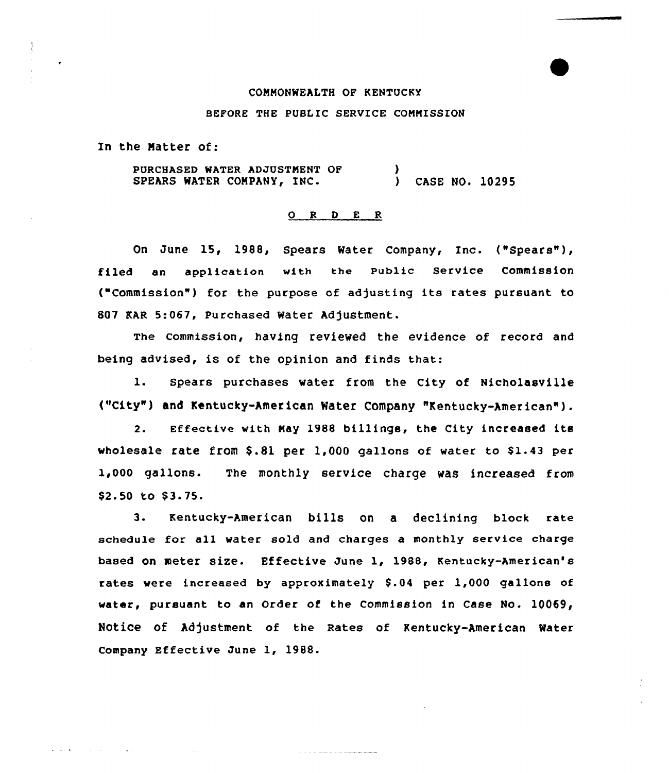# COMMONWEALTH OF KENTUCKY

### BEFORE THE PUBLIC SERVICE COMMISSION

In the Natter of:

 $\Delta\sim 10^{11}$  and  $\Delta\sim 10^{11}$ 

PURCHASED WATER ADJUSTMENT OF SPEARS WATER COMPANY, INC.  $\lambda$ ) CASE NO. 10295

### 0 R <sup>D</sup> E R

On June 15, 1988, Spears Water Company, Inc. ("Spears" ), filed an application vith the public service commission ("Commission") for the purpose of adjusting its rates pursuant to 8Q7 KAR 5:067, Purchased Water Adjustment.

The commission, having revieved the evidence of record and being advised, is of the opinion and finds that:

l. Spears purchases vater from the City of Nicholasville ("City" ) and Kentucky-American Water Company "Kentucky-American" ).

2. Effective vith Nay 1988 billings, the city increased its wholesale rate from  $$.81$  per  $1,000$  gallons of water to  $$1.43$  per 1,QQQ gallons. The monthly service charge was increased from \$2.50 to \$3.75.

3. Kentucky-American bills on <sup>a</sup> declining block rate schedule for all water sold and charges a monthly service charge based on meter size. Effective June 1, 1988, Kentucky-American's rates were increased by approximately \$.04 per 1,000 gallons of water, pursuant to an Order of the Commission in Case No. 10069, Notice of Adjustment of the Rates of Kentucky-American Water Company Effective June 1, 1988.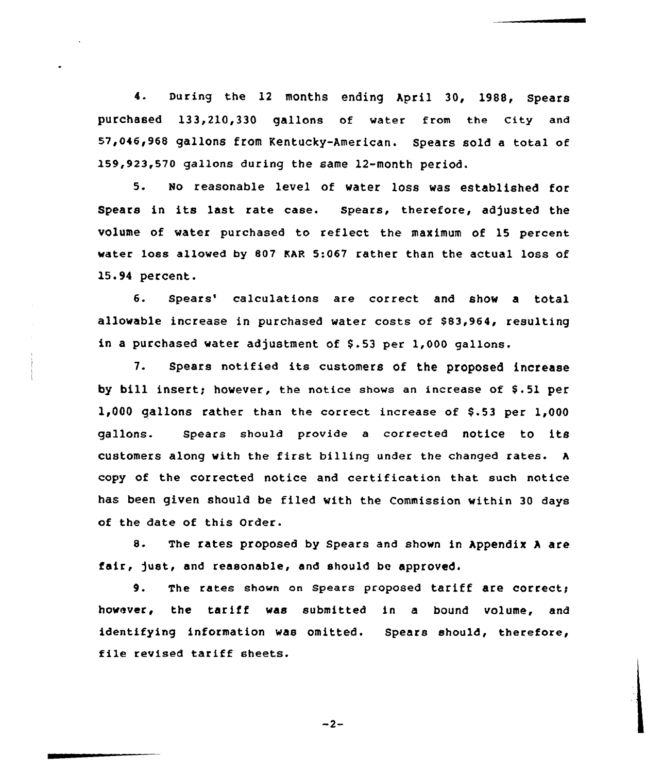4. During the <sup>12</sup> months ending April 30, 1988, Spears purchased 133.210.330 gallons of water from the City and 57,046,968 gallons from Kentucky-American. Spears sold a total of 159 923 570 gallons during the same 12-month period.

5. No reasonable level of water loss was established for Spears in its last rate case. spears, therefore, adjusted the volume of water purchased to reflect the maximum of 15 percent water loss allowed by 807 EAR 5:067 rather than the actual loss of 15.94 percent.

6. Spears' calculations are correct and show a total allowable increase in purchased water costs of \$83,964, resulting in a purchased water adjustment of S.53 per 1,000 gallons.

7. Spears notified its customers of the proposed increase by bill insert; however, the notice shows an increase of \$.51 per 1,000 gallons rather than the correct increase of \$.53 per  $1,000$ gallons. Spears should provide <sup>a</sup> corrected notice to its customers along with the first billing under the changed rates. <sup>A</sup> copy of the corrected notice and certification that such notice has been given should be filed with the Commission within 30 days of the date of this Order.

8. The rates proposed by Spears and shown in Appendix <sup>A</sup> are fair, just, and reasonable, and should be approved.

9. The rates shown on Spears proposed tariff are correct; however, the tariff was submitted in <sup>a</sup> bound volume, and identifying information was omitted. Spears should, therefore, file revised tariff sheets.

 $-2-$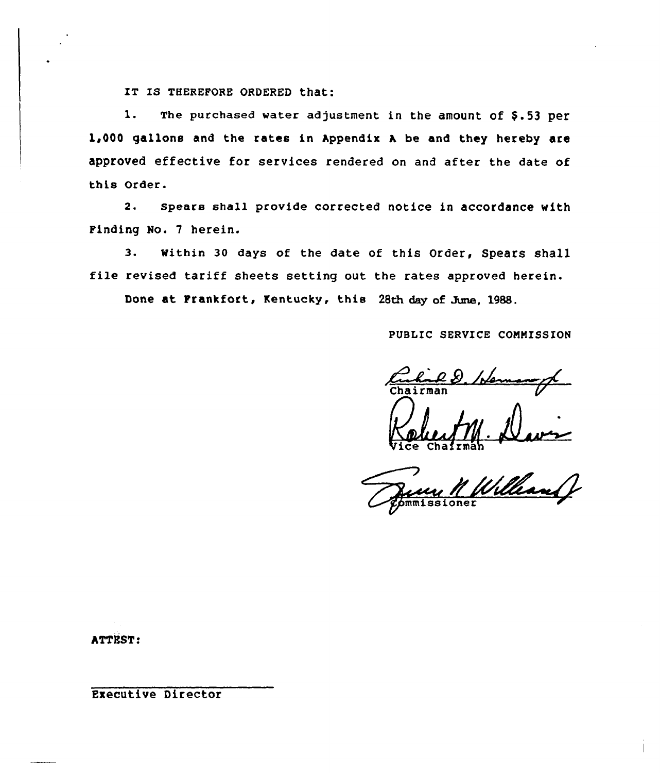IT IS THEREFORE ORDERED that:

1. The purchased water adjustment in the amount of  $$.53$  per 1,000 gallons and the rates in hppendix h be and they hereby are approved effective for services rendered on and after the date of this Order.

2. Spears shall provide corrected notice in accordance with Finding No. 7 herein.

3. Within 30 days of the date of this Order, Spears shall file revised tariff sheets setting out the rates approved herein.

Done at Frankfort, Kentucky, this 28th day of June, 1988.

PUBLIC SERVICE COMMISSION

Vice Chairma

N Will

ATTRST:

Executive Director